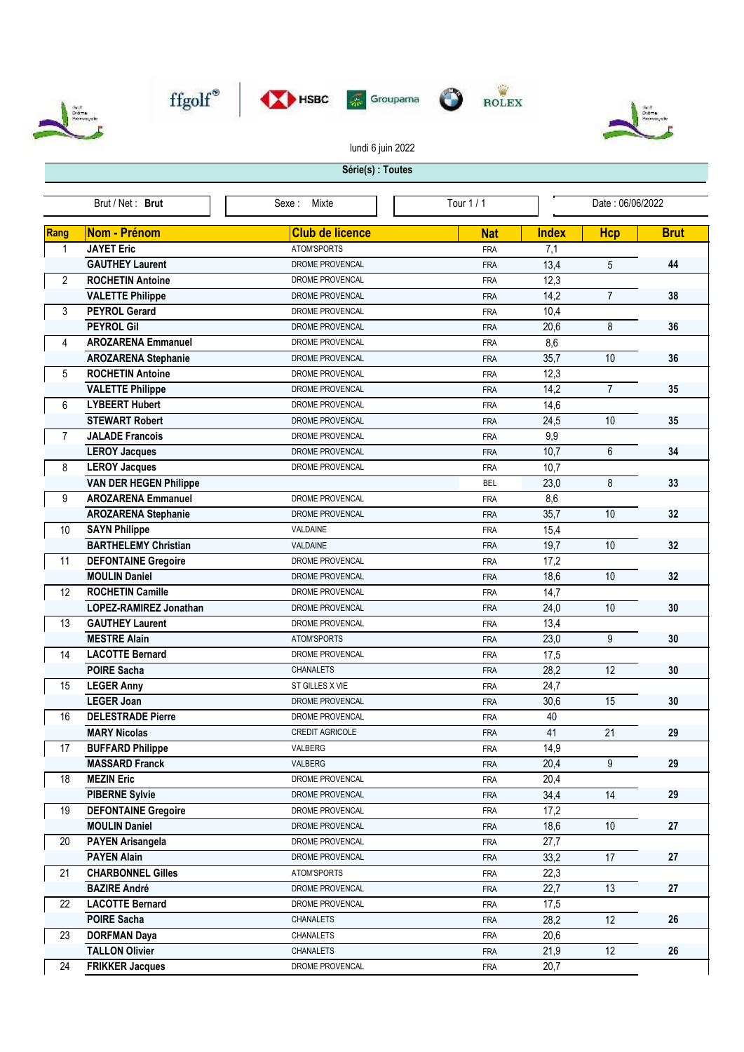









lundi 6 juin 2022

## **Série(s) : Toutes**

| Brut / Net: Brut |                               | Mixte<br>Sexe :        | Tour $1/1$ | Date: 06/06/2022 |                |             |
|------------------|-------------------------------|------------------------|------------|------------------|----------------|-------------|
| Rang             | Nom - Prénom                  | <b>Club de licence</b> | <b>Nat</b> | <b>Index</b>     | <b>Hcp</b>     | <b>Brut</b> |
| 1                | <b>JAYET Eric</b>             | ATOM'SPORTS            | <b>FRA</b> | 7,1              |                |             |
|                  | <b>GAUTHEY Laurent</b>        | DROME PROVENCAL        | <b>FRA</b> | 13,4             | 5              | 44          |
| $\overline{2}$   | <b>ROCHETIN Antoine</b>       | <b>DROME PROVENCAL</b> | <b>FRA</b> | 12,3             |                |             |
|                  | <b>VALETTE Philippe</b>       | DROME PROVENCAL        | <b>FRA</b> | 14,2             | $\overline{7}$ | 38          |
| 3                | <b>PEYROL Gerard</b>          | DROME PROVENCAL        | <b>FRA</b> | 10,4             |                |             |
|                  | <b>PEYROL Gil</b>             | DROME PROVENCAL        | <b>FRA</b> | 20,6             | 8              | 36          |
| 4                | <b>AROZARENA Emmanuel</b>     | DROME PROVENCAL        | <b>FRA</b> | 8,6              |                |             |
|                  | <b>AROZARENA Stephanie</b>    | DROME PROVENCAL        | <b>FRA</b> | 35,7             | 10             | 36          |
| 5                | <b>ROCHETIN Antoine</b>       | DROME PROVENCAL        | <b>FRA</b> | 12,3             |                |             |
|                  | <b>VALETTE Philippe</b>       | DROME PROVENCAL        | <b>FRA</b> | 14,2             | $\overline{7}$ | 35          |
| 6                | <b>LYBEERT Hubert</b>         | DROME PROVENCAL        | <b>FRA</b> | 14,6             |                |             |
|                  | <b>STEWART Robert</b>         | DROME PROVENCAL        | <b>FRA</b> | 24,5             | 10             | 35          |
| $\overline{7}$   | <b>JALADE Francois</b>        | DROME PROVENCAL        | <b>FRA</b> | 9,9              |                |             |
|                  | <b>LEROY Jacques</b>          | <b>DROME PROVENCAL</b> | <b>FRA</b> | 10,7             | 6              | 34          |
| 8                | <b>LEROY Jacques</b>          | DROME PROVENCAL        | <b>FRA</b> | 10,7             |                |             |
|                  | <b>VAN DER HEGEN Philippe</b> |                        | <b>BEL</b> | 23,0             | 8              | 33          |
| 9                | <b>AROZARENA Emmanuel</b>     | DROME PROVENCAL        | <b>FRA</b> | 8,6              |                |             |
|                  | <b>AROZARENA Stephanie</b>    | DROME PROVENCAL        | <b>FRA</b> | 35,7             | 10             | 32          |
| 10               | <b>SAYN Philippe</b>          | VALDAINE               | <b>FRA</b> | 15,4             |                |             |
|                  | <b>BARTHELEMY Christian</b>   | VALDAINE               | <b>FRA</b> | 19,7             | 10             | 32          |
| 11               | <b>DEFONTAINE Gregoire</b>    | DROME PROVENCAL        | <b>FRA</b> | 17,2             |                |             |
|                  | <b>MOULIN Daniel</b>          | DROME PROVENCAL        | <b>FRA</b> | 18,6             | 10             | 32          |
| 12               | <b>ROCHETIN Camille</b>       | DROME PROVENCAL        | <b>FRA</b> | 14,7             |                |             |
|                  | LOPEZ-RAMIREZ Jonathan        | DROME PROVENCAL        | <b>FRA</b> | 24,0             | 10             | 30          |
| 13               | <b>GAUTHEY Laurent</b>        | DROME PROVENCAL        | <b>FRA</b> | 13,4             |                |             |
|                  | <b>MESTRE Alain</b>           | ATOM'SPORTS            | <b>FRA</b> | 23,0             | 9              | 30          |
| 14               | <b>LACOTTE Bernard</b>        | DROME PROVENCAL        | <b>FRA</b> | 17,5             |                |             |
|                  | <b>POIRE Sacha</b>            | <b>CHANALETS</b>       | <b>FRA</b> | 28,2             | 12             | 30          |
| 15               | <b>LEGER Anny</b>             | ST GILLES X VIE        | <b>FRA</b> | 24,7             |                |             |
|                  | <b>LEGER Joan</b>             | DROME PROVENCAL        | <b>FRA</b> | 30,6             | 15             | 30          |
| 16               | <b>DELESTRADE Pierre</b>      | DROME PROVENCAL        | <b>FRA</b> | 40               |                |             |
|                  | <b>MARY Nicolas</b>           | <b>CREDIT AGRICOLE</b> | <b>FRA</b> | 41               | 21             | 29          |
| 17               | <b>BUFFARD Philippe</b>       | VALBERG                | <b>FRA</b> | 14,9             |                |             |
|                  | <b>MASSARD Franck</b>         | VALBERG                | <b>FRA</b> | 20,4             | 9              | 29          |
| 18               | <b>MEZIN Eric</b>             | DROME PROVENCAL        | <b>FRA</b> | 20,4             |                |             |
|                  | <b>PIBERNE Sylvie</b>         | DROME PROVENCAL        | <b>FRA</b> | 34,4             | 14             | 29          |
| 19               | <b>DEFONTAINE Gregoire</b>    | DROME PROVENCAL        | <b>FRA</b> | 17,2             |                |             |
|                  | <b>MOULIN Daniel</b>          | DROME PROVENCAL        | <b>FRA</b> | 18,6             | 10             | 27          |
| 20               | <b>PAYEN Arisangela</b>       | DROME PROVENCAL        | <b>FRA</b> | 27,7             |                |             |
|                  | <b>PAYEN Alain</b>            | DROME PROVENCAL        | <b>FRA</b> | 33,2             | 17             | 27          |
| 21               | <b>CHARBONNEL Gilles</b>      | ATOM'SPORTS            | <b>FRA</b> | 22,3             |                |             |
|                  | <b>BAZIRE André</b>           | DROME PROVENCAL        | <b>FRA</b> | 22,7             | 13             | 27          |
| 22               | <b>LACOTTE Bernard</b>        | DROME PROVENCAL        | <b>FRA</b> | 17,5             |                |             |
|                  | <b>POIRE Sacha</b>            | <b>CHANALETS</b>       | <b>FRA</b> | 28,2             | 12             | 26          |
| 23               | <b>DORFMAN Daya</b>           | CHANALETS              | <b>FRA</b> | 20,6             |                |             |
|                  | <b>TALLON Olivier</b>         | CHANALETS              | <b>FRA</b> | 21,9             | 12             | 26          |
| 24               | <b>FRIKKER Jacques</b>        | DROME PROVENCAL        | <b>FRA</b> | 20,7             |                |             |